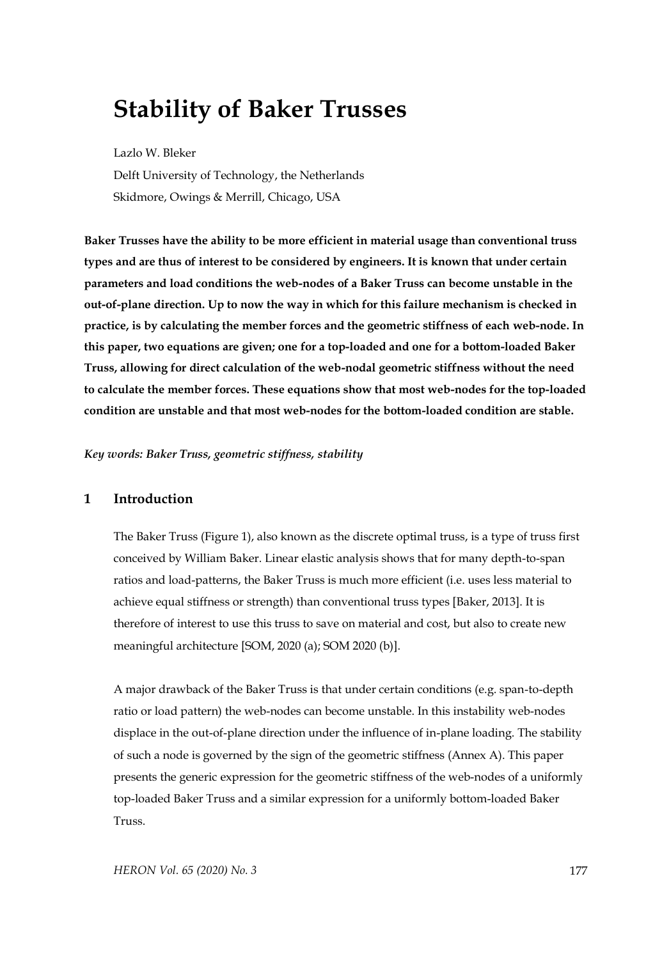# **Stability of Baker Trusses**

Lazlo W. Bleker Delft University of Technology, the Netherlands Skidmore, Owings & Merrill, Chicago, USA

**Baker Trusses have the ability to be more efficient in material usage than conventional truss types and are thus of interest to be considered by engineers. It is known that under certain parameters and load conditions the web-nodes of a Baker Truss can become unstable in the out-of-plane direction. Up to now the way in which for this failure mechanism is checked in practice, is by calculating the member forces and the geometric stiffness of each web-node. In this paper, two equations are given; one for a top-loaded and one for a bottom-loaded Baker Truss, allowing for direct calculation of the web-nodal geometric stiffness without the need to calculate the member forces. These equations show that most web-nodes for the top-loaded condition are unstable and that most web-nodes for the bottom-loaded condition are stable.**

*Key words: Baker Truss, geometric stiffness, stability*

## **1 Introduction**

The Baker Truss (Figure 1), also known as the discrete optimal truss, is a type of truss first conceived by William Baker. Linear elastic analysis shows that for many depth-to-span ratios and load-patterns, the Baker Truss is much more efficient (i.e. uses less material to achieve equal stiffness or strength) than conventional truss types [Baker, 2013]. It is therefore of interest to use this truss to save on material and cost, but also to create new meaningful architecture [SOM, 2020 (a); SOM 2020 (b)].

A major drawback of the Baker Truss is that under certain conditions (e.g. span-to-depth ratio or load pattern) the web-nodes can become unstable. In this instability web-nodes displace in the out-of-plane direction under the influence of in-plane loading. The stability of such a node is governed by the sign of the geometric stiffness (Annex A). This paper presents the generic expression for the geometric stiffness of the web-nodes of a uniformly top-loaded Baker Truss and a similar expression for a uniformly bottom-loaded Baker Truss.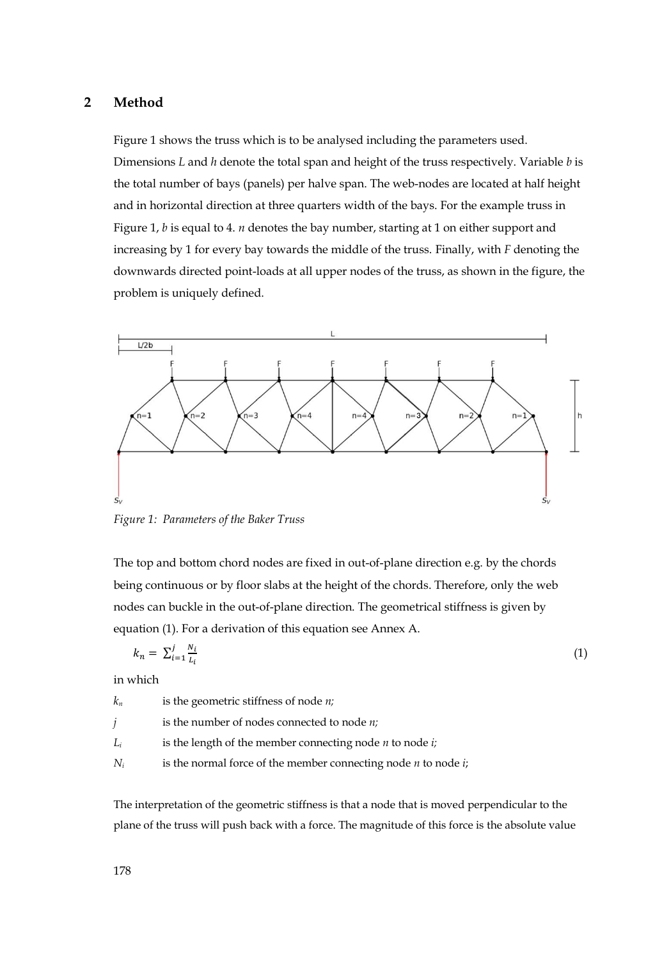### **2 Method**

Figure 1 shows the truss which is to be analysed including the parameters used. Dimensions *L* and *h* denote the total span and height of the truss respectively. Variable *b* is the total number of bays (panels) per halve span. The web-nodes are located at half height and in horizontal direction at three quarters width of the bays. For the example truss in Figure 1, *b* is equal to 4. *n* denotes the bay number, starting at 1 on either support and increasing by 1 for every bay towards the middle of the truss. Finally, with *F* denoting the downwards directed point-loads at all upper nodes of the truss, as shown in the figure, the problem is uniquely defined.



*Figure 1: Parameters of the Baker Truss*

The top and bottom chord nodes are fixed in out-of-plane direction e.g. by the chords being continuous or by floor slabs at the height of the chords. Therefore, only the web nodes can buckle in the out-of-plane direction. The geometrical stiffness is given by equation (1). For a derivation of this equation see Annex A.

$$
k_n = \sum_{i=1}^j \frac{N_i}{L_i} \tag{1}
$$

in which

*k<sup>n</sup>* is the geometric stiffness of node *n; j* is the number of nodes connected to node *n;*  $L_i$  is the length of the member connecting node *n* to node *i*; *N<sup>i</sup>* is the normal force of the member connecting node *n* to node *i*;

The interpretation of the geometric stiffness is that a node that is moved perpendicular to the plane of the truss will push back with a force. The magnitude of this force is the absolute value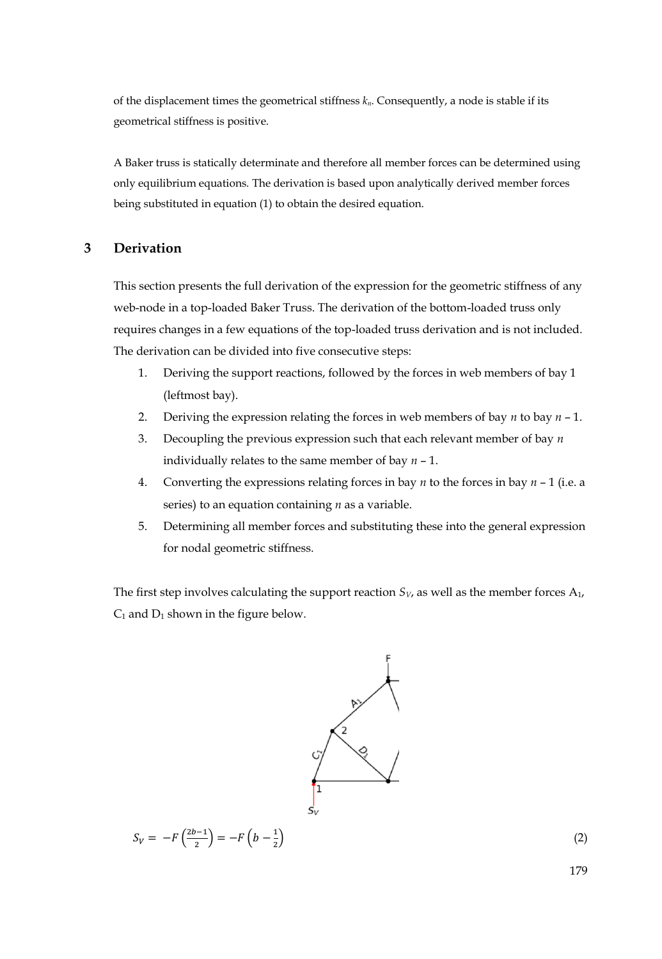of the displacement times the geometrical stiffness *kn*. Consequently, a node is stable if its geometrical stiffness is positive.

A Baker truss is statically determinate and therefore all member forces can be determined using only equilibrium equations. The derivation is based upon analytically derived member forces being substituted in equation (1) to obtain the desired equation.

## **3 Derivation**

This section presents the full derivation of the expression for the geometric stiffness of any web-node in a top-loaded Baker Truss. The derivation of the bottom-loaded truss only requires changes in a few equations of the top-loaded truss derivation and is not included. The derivation can be divided into five consecutive steps:

- 1. Deriving the support reactions, followed by the forces in web members of bay 1 (leftmost bay).
- 2. Deriving the expression relating the forces in web members of bay *n* to bay *n* 1.
- 3. Decoupling the previous expression such that each relevant member of bay *n* individually relates to the same member of bay *n* – 1.
- 4. Converting the expressions relating forces in bay *n* to the forces in bay *n*  1 (i.e. a series) to an equation containing *n* as a variable.
- 5. Determining all member forces and substituting these into the general expression for nodal geometric stiffness.

The first step involves calculating the support reaction  $S_V$ , as well as the member forces  $A_1$ ,  $C_1$  and  $D_1$  shown in the figure below.



 $S_V = -F \left( \frac{2b-1}{2} \right)$  $\binom{b-1}{2} = -F\left(b - \frac{1}{2}\right)$ 2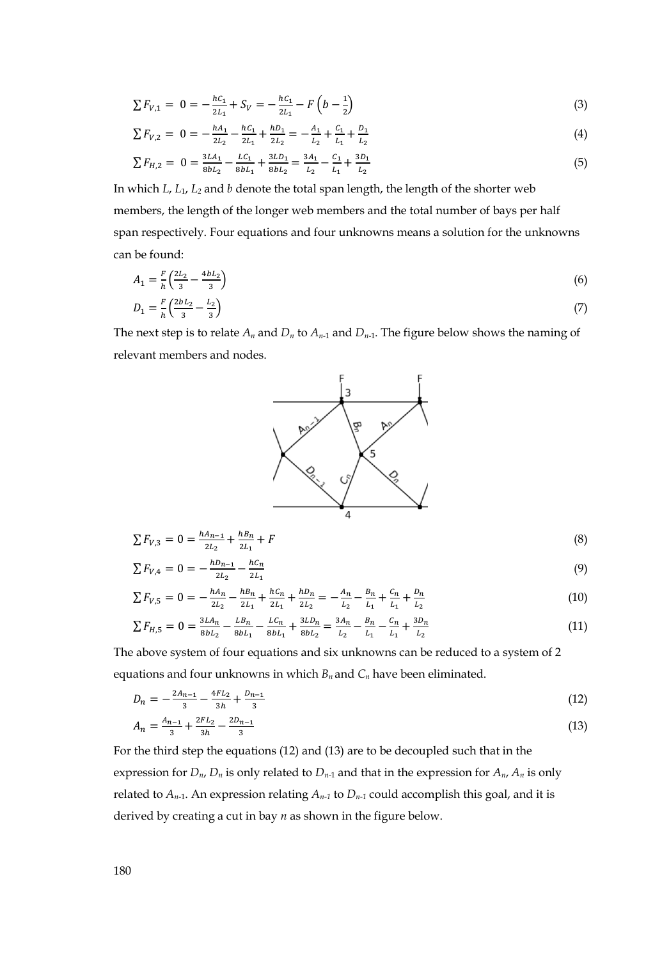$$
\sum F_{V,1} = 0 = -\frac{hc_1}{2L_1} + S_V = -\frac{hc_1}{2L_1} - F\left(b - \frac{1}{2}\right)
$$
\n(3)

$$
\sum F_{V,2} = 0 = -\frac{hA_1}{2L_2} - \frac{hC_1}{2L_1} + \frac{hD_1}{2L_2} = -\frac{A_1}{L_2} + \frac{C_1}{L_1} + \frac{D_1}{L_2}
$$
\n(4)

$$
\sum F_{H,2} = 0 = \frac{3LA_1}{8bL_2} - \frac{LC_1}{8bL_1} + \frac{3LD_1}{8bL_2} = \frac{3A_1}{L_2} - \frac{C_1}{L_1} + \frac{3D_1}{L_2}
$$
(5)

In which *L*, *L*1, *L<sup>2</sup>* and *b* denote the total span length, the length of the shorter web members, the length of the longer web members and the total number of bays per half span respectively. Four equations and four unknowns means a solution for the unknowns can be found:

$$
A_1 = \frac{F}{h} \left( \frac{2L_2}{3} - \frac{4bL_2}{3} \right)
$$
  
(6)

$$
D_1 = \frac{1}{h} \left( \frac{2bL_2}{3} - \frac{22}{3} \right) \tag{7}
$$

The next step is to relate  $A_n$  and  $D_n$  to  $A_{n-1}$  and  $D_{n-1}$ . The figure below shows the naming of relevant members and nodes.



$$
\sum F_{V,3} = 0 = \frac{hA_{n-1}}{2L_2} + \frac{hB_n}{2L_1} + F
$$
\n(8)

$$
\sum F_{V,4} = 0 = -\frac{h_{n-1}}{2L_2} - \frac{h_{n-1}}{2L_1}
$$
\n(9)

$$
\sum F_{V,5} = 0 = -\frac{hA_n}{2L_2} - \frac{hB_n}{2L_1} + \frac{hC_n}{2L_1} + \frac{hD_n}{2L_2} = -\frac{A_n}{L_2} - \frac{B_n}{L_1} + \frac{C_n}{L_1} + \frac{D_n}{L_2}
$$
(10)

$$
\sum F_{H,5} = 0 = \frac{3LA_n}{8bL_2} - \frac{LB_n}{8bL_1} - \frac{LC_n}{8bL_1} + \frac{3LD_n}{8bL_2} = \frac{3A_n}{L_2} - \frac{B_n}{L_1} - \frac{C_n}{L_1} + \frac{3D_n}{L_2}
$$
(11)

The above system of four equations and six unknowns can be reduced to a system of 2 equations and four unknowns in which *Bn* and *C<sup>n</sup>* have been eliminated.

$$
D_n = -\frac{2A_{n-1}}{3} - \frac{4FL_2}{3h} + \frac{D_{n-1}}{3}
$$
\n<sup>(12)</sup>

$$
A_n = \frac{A_{n-1}}{3} + \frac{2FL_2}{3h} - \frac{2D_{n-1}}{3} \tag{13}
$$

For the third step the equations (12) and (13) are to be decoupled such that in the expression for  $D_n$ ,  $D_n$  is only related to  $D_{n-1}$  and that in the expression for  $A_n$ ,  $A_n$  is only related to  $A_{n-1}$ . An expression relating  $A_{n-1}$  to  $D_{n-1}$  could accomplish this goal, and it is derived by creating a cut in bay *n* as shown in the figure below.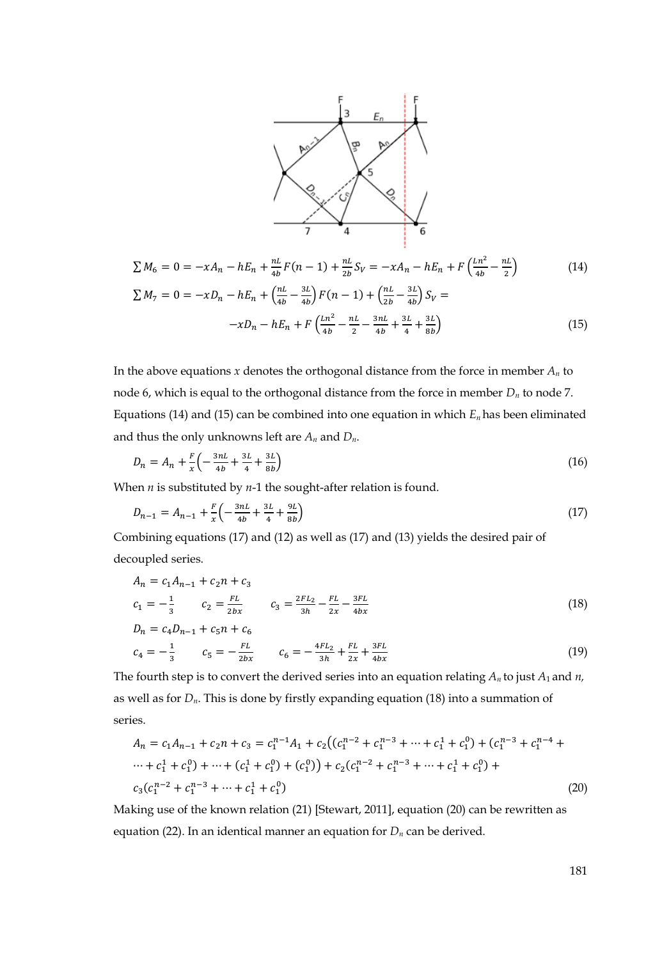

$$
\sum M_6 = 0 = -xA_n - hE_n + \frac{nL}{4b}F(n-1) + \frac{nL}{2b}S_V = -xA_n - hE_n + F\left(\frac{Ln^2}{4b} - \frac{nL}{2}\right)
$$
(14)  

$$
\sum M_7 = 0 = -xD_n - hE_n + \left(\frac{nL}{4b} - \frac{3L}{4b}\right)F(n-1) + \left(\frac{nL}{2b} - \frac{3L}{4b}\right)S_V =
$$

$$
-xD_n - hE_n + F\left(\frac{ln^2}{4b} - \frac{nL}{2} - \frac{3nL}{4b} + \frac{3L}{4} + \frac{3L}{8b}\right)
$$
(15)

In the above equations  $x$  denotes the orthogonal distance from the force in member  $A_n$  to node 6, which is equal to the orthogonal distance from the force in member *D<sup>n</sup>* to node 7. Equations (14) and (15) can be combined into one equation in which *En* has been eliminated and thus the only unknowns left are *A<sup>n</sup>* and *Dn*.

$$
D_n = A_n + \frac{F}{x} \left( -\frac{3nL}{4b} + \frac{3L}{4} + \frac{3L}{8b} \right) \tag{16}
$$

When *n* is substituted by *n*-1 the sought-after relation is found.

$$
D_{n-1} = A_{n-1} + \frac{F}{x} \left( -\frac{3nL}{4b} + \frac{3L}{4} + \frac{9L}{8b} \right) \tag{17}
$$

Combining equations (17) and (12) as well as (17) and (13) yields the desired pair of decoupled series.

$$
A_n = c_1 A_{n-1} + c_2 n + c_3
$$
  
\n
$$
c_1 = -\frac{1}{3} \qquad c_2 = \frac{FL}{2bx} \qquad c_3 = \frac{2FL_2}{3h} - \frac{FL}{2x} - \frac{3FL}{4bx}
$$
  
\n
$$
D_n = c_4 D_{n-1} + c_5 n + c_6
$$
\n(18)

$$
c_4 = -\frac{1}{3} \qquad c_5 = -\frac{FL}{2bx} \qquad c_6 = -\frac{4FL_2}{3h} + \frac{FL}{2x} + \frac{3FL}{4bx} \tag{19}
$$

The fourth step is to convert the derived series into an equation relating *An* to just *A*1 and *n,*  as well as for  $D_n$ . This is done by firstly expanding equation (18) into a summation of series.

$$
A_n = c_1 A_{n-1} + c_2 n + c_3 = c_1^{n-1} A_1 + c_2 ((c_1^{n-2} + c_1^{n-3} + \dots + c_1^1 + c_1^0) + (c_1^{n-3} + c_1^{n-4} + \dots + c_1^1 + c_1^0) + \dots + (c_1^1 + c_1^0) + (c_1^0)) + c_2 (c_1^{n-2} + c_1^{n-3} + \dots + c_1^1 + c_1^0) + c_3 (c_1^{n-2} + c_1^{n-3} + \dots + c_1^1 + c_1^0)
$$
\n(20)

Making use of the known relation (21) [Stewart, 2011], equation (20) can be rewritten as equation (22). In an identical manner an equation for *D<sup>n</sup>* can be derived.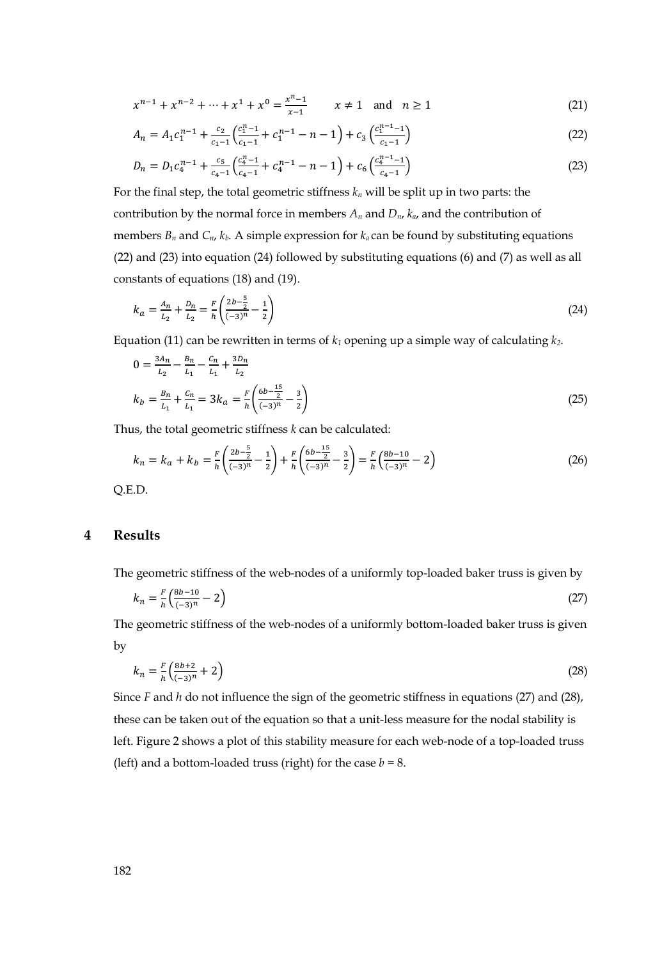$$
x^{n-1} + x^{n-2} + \dots + x^1 + x^0 = \frac{x^{n-1}}{x-1} \qquad x \neq 1 \quad \text{and} \quad n \ge 1
$$
 (21)

$$
A_n = A_1 c_1^{n-1} + \frac{c_2}{c_1 - 1} \left( \frac{c_1^{n-1}}{c_1 - 1} + c_1^{n-1} - n - 1 \right) + c_3 \left( \frac{c_1^{n-1} - 1}{c_1 - 1} \right)
$$
(22)

$$
D_n = D_1 c_4^{n-1} + \frac{c_5}{c_4 - 1} \left( \frac{c_4^{n-1}}{c_4 - 1} + c_4^{n-1} - n - 1 \right) + c_6 \left( \frac{c_4^{n-1} - 1}{c_4 - 1} \right)
$$
(23)

For the final step, the total geometric stiffness  $k_n$  will be split up in two parts: the contribution by the normal force in members  $A_n$  and  $D_n$ ,  $k_a$ , and the contribution of members  $B_n$  and  $C_n$ ,  $k_b$ . A simple expression for  $k_a$  can be found by substituting equations (22) and (23) into equation (24) followed by substituting equations (6) and (7) as well as all constants of equations (18) and (19).

$$
k_a = \frac{A_n}{L_2} + \frac{D_n}{L_2} = \frac{F}{h} \left( \frac{2b - \frac{5}{2}}{(-3)^n} - \frac{1}{2} \right)
$$
(24)

Equation (11) can be rewritten in terms of *k<sup>1</sup>* opening up a simple way of calculating *k2*.

$$
0 = \frac{3A_n}{L_2} - \frac{B_n}{L_1} - \frac{C_n}{L_1} + \frac{3D_n}{L_2}
$$
  
\n
$$
k_b = \frac{B_n}{L_1} + \frac{C_n}{L_1} = 3k_a = \frac{F}{h} \left( \frac{6b - \frac{15}{2}}{(-3)^n} - \frac{3}{2} \right)
$$
\n(25)

Thus, the total geometric stiffness *k* can be calculated:

$$
k_n = k_a + k_b = \frac{F}{h} \left( \frac{2b - \frac{5}{2}}{(-3)^n} - \frac{1}{2} \right) + \frac{F}{h} \left( \frac{6b - \frac{15}{2}}{(-3)^n} - \frac{3}{2} \right) = \frac{F}{h} \left( \frac{8b - 10}{(-3)^n} - 2 \right)
$$
(26)

Q.E.D.

### **4 Results**

The geometric stiffness of the web-nodes of a uniformly top-loaded baker truss is given by

$$
k_n = \frac{F}{h} \left( \frac{8b - 10}{(-3)^n} - 2 \right) \tag{27}
$$

The geometric stiffness of the web-nodes of a uniformly bottom-loaded baker truss is given by

$$
k_n = \frac{F}{h} \left( \frac{8b+2}{(-3)^n} + 2 \right) \tag{28}
$$

Since *F* and *h* do not influence the sign of the geometric stiffness in equations (27) and (28), these can be taken out of the equation so that a unit-less measure for the nodal stability is left. Figure 2 shows a plot of this stability measure for each web-node of a top-loaded truss (left) and a bottom-loaded truss (right) for the case  $b = 8$ .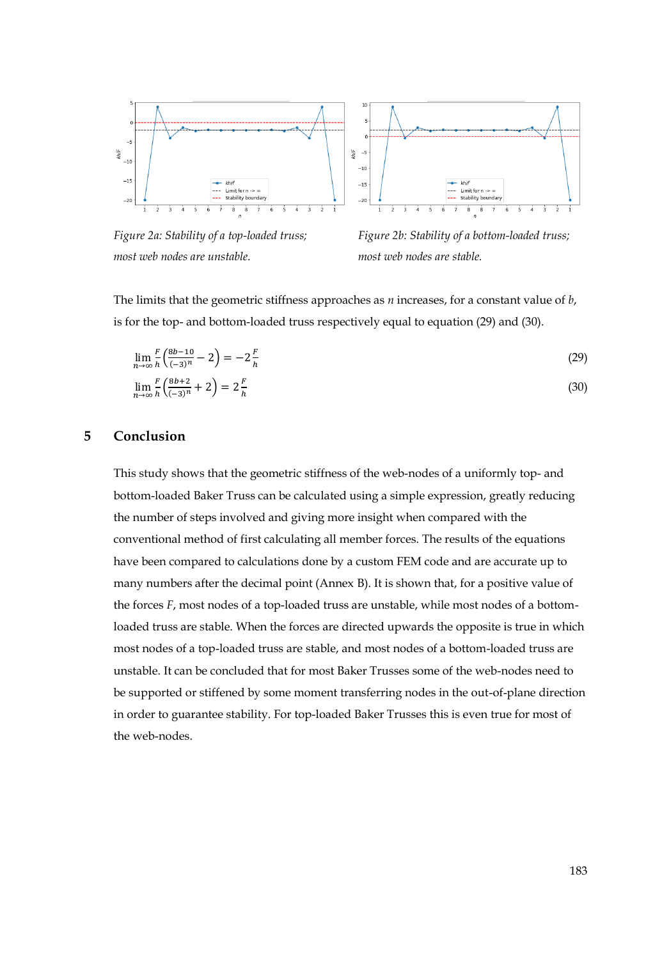



*Figure 2a: Stability of a top-loaded truss; Figure 2b: Stability of a bottom-loaded truss; most web nodes are unstable. most web nodes are stable.*

The limits that the geometric stiffness approaches as *n* increases, for a constant value of *b*, is for the top- and bottom-loaded truss respectively equal to equation (29) and (30).

$$
\lim_{n \to \infty} \frac{F}{h} \left( \frac{8b - 10}{(-3)^n} - 2 \right) = -2 \frac{F}{h}
$$
\n(29)

$$
\lim_{n \to \infty} \frac{F}{h} \left( \frac{8b+2}{(-3)^n} + 2 \right) = 2 \frac{F}{h}
$$
\n
$$
(30)
$$

#### **5 Conclusion**

This study shows that the geometric stiffness of the web-nodes of a uniformly top- and bottom-loaded Baker Truss can be calculated using a simple expression, greatly reducing the number of steps involved and giving more insight when compared with the conventional method of first calculating all member forces. The results of the equations have been compared to calculations done by a custom FEM code and are accurate up to many numbers after the decimal point (Annex B). It is shown that, for a positive value of the forces *F*, most nodes of a top-loaded truss are unstable, while most nodes of a bottomloaded truss are stable. When the forces are directed upwards the opposite is true in which most nodes of a top-loaded truss are stable, and most nodes of a bottom-loaded truss are unstable. It can be concluded that for most Baker Trusses some of the web-nodes need to be supported or stiffened by some moment transferring nodes in the out-of-plane direction in order to guarantee stability. For top-loaded Baker Trusses this is even true for most of the web-nodes.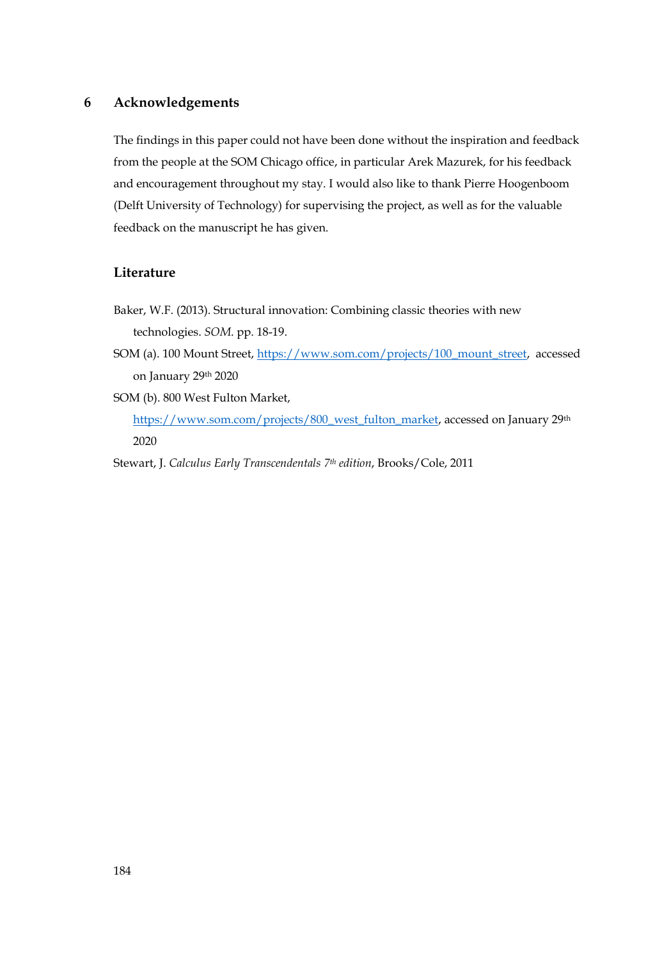### **6 Acknowledgements**

The findings in this paper could not have been done without the inspiration and feedback from the people at the SOM Chicago office, in particular Arek Mazurek, for his feedback and encouragement throughout my stay. I would also like to thank Pierre Hoogenboom (Delft University of Technology) for supervising the project, as well as for the valuable feedback on the manuscript he has given.

#### **Literature**

- Baker, W.F. (2013). Structural innovation: Combining classic theories with new technologies. *SOM*. pp. 18-19.
- SOM (a). 100 Mount Street, [https://www.som.com/projects/100\\_mount\\_street,](https://www.som.com/projects/100_mount_street) accessed on January 29th 2020
- SOM (b). 800 West Fulton Market, [https://www.som.com/projects/800\\_west\\_fulton\\_market,](https://www.som.com/projects/800_west_fulton_market) accessed on January 29th 2020

Stewart, J. *Calculus Early Transcendentals 7th edition*, Brooks/Cole, 2011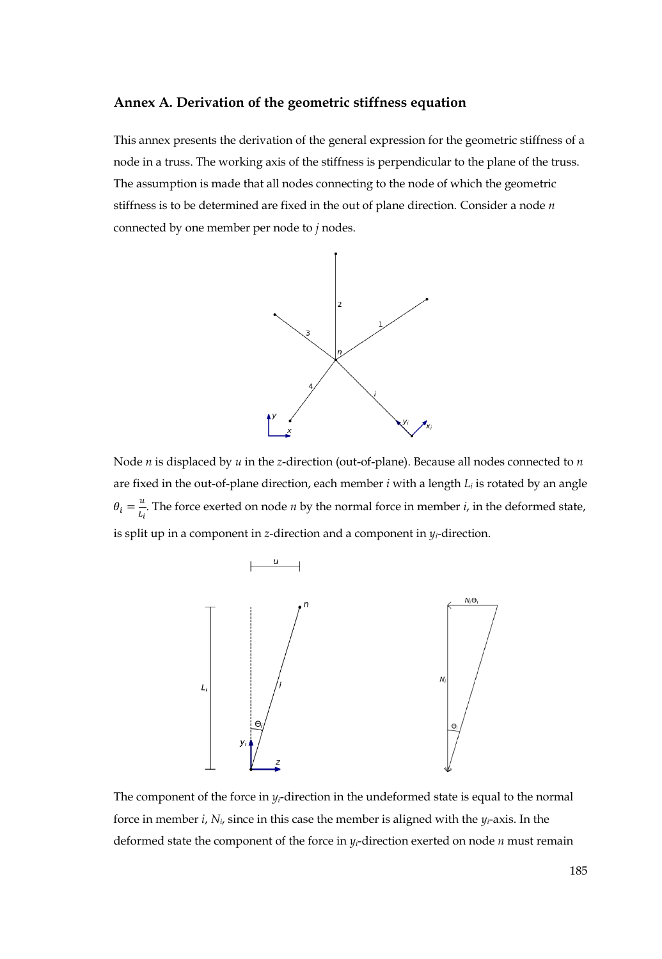#### **Annex A. Derivation of the geometric stiffness equation**

This annex presents the derivation of the general expression for the geometric stiffness of a node in a truss. The working axis of the stiffness is perpendicular to the plane of the truss. The assumption is made that all nodes connecting to the node of which the geometric stiffness is to be determined are fixed in the out of plane direction. Consider a node *n* connected by one member per node to *j* nodes.



Node *n* is displaced by *u* in the *z*-direction (out-of-plane). Because all nodes connected to *n* are fixed in the out-of-plane direction, each member *i* with a length *L<sup>i</sup>* is rotated by an angle  $\theta_i=\frac{u}{l}$  $\frac{a}{L_i}$ . The force exerted on node *n* by the normal force in member *i*, in the deformed state, is split up in a component in *z*-direction and a component in  $y_i$ -direction.



The component of the force in  $y_i$ -direction in the undeformed state is equal to the normal force in member *i*,  $N_i$ , since in this case the member is aligned with the  $\gamma_i$ -axis. In the deformed state the component of the force in *yi*-direction exerted on node *n* must remain